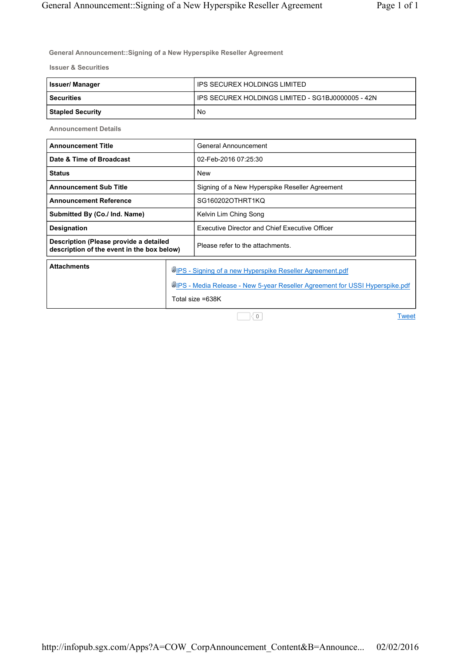**General Announcement::Signing of a New Hyperspike Reseller Agreement** 

**Issuer & Securities**

| Issuer/ Manager  | ' IPS SECUREX HOLDINGS LIMITED                    |
|------------------|---------------------------------------------------|
| l Securities     | IPS SECUREX HOLDINGS LIMITED - SG1BJ0000005 - 42N |
| Stapled Security | No                                                |

**Announcement Details**

| <b>Announcement Title</b>                                                            |                                                                                                                                                                     | General Announcement                                  |
|--------------------------------------------------------------------------------------|---------------------------------------------------------------------------------------------------------------------------------------------------------------------|-------------------------------------------------------|
| Date & Time of Broadcast                                                             |                                                                                                                                                                     | 02-Feb-2016 07:25:30                                  |
| <b>Status</b>                                                                        |                                                                                                                                                                     | New                                                   |
| <b>Announcement Sub Title</b>                                                        |                                                                                                                                                                     | Signing of a New Hyperspike Reseller Agreement        |
| <b>Announcement Reference</b>                                                        |                                                                                                                                                                     | SG160202OTHRT1KQ                                      |
| Submitted By (Co./ Ind. Name)                                                        |                                                                                                                                                                     | Kelvin Lim Ching Song                                 |
| Designation                                                                          |                                                                                                                                                                     | <b>Executive Director and Chief Executive Officer</b> |
| Description (Please provide a detailed<br>description of the event in the box below) |                                                                                                                                                                     | Please refer to the attachments.                      |
| <b>Attachments</b>                                                                   | <b>WIPS - Signing of a new Hyperspike Reseller Agreement.pdf</b><br>UPS - Media Release - New 5-year Reseller Agreement for USSI Hyperspike.pdf<br>Total size =638K |                                                       |

0

**Tweet**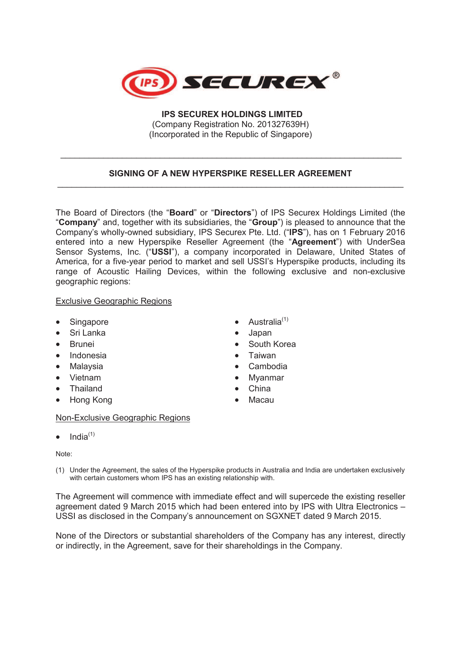

 **IPS SECUREX HOLDINGS LIMITED** (Company Registration No. 201327639H) (Incorporated in the Republic of Singapore)

## **SIGNING OF A NEW HYPERSPIKE RESELLER AGREEMENT**  \_\_\_\_\_\_\_\_\_\_\_\_\_\_\_\_\_\_\_\_\_\_\_\_\_\_\_\_\_\_\_\_\_\_\_\_\_\_\_\_\_\_\_\_\_\_\_\_\_\_\_\_\_\_\_\_\_\_\_\_\_\_\_\_\_\_\_\_\_\_\_\_\_

 $\frac{1}{2}$  ,  $\frac{1}{2}$  ,  $\frac{1}{2}$  ,  $\frac{1}{2}$  ,  $\frac{1}{2}$  ,  $\frac{1}{2}$  ,  $\frac{1}{2}$  ,  $\frac{1}{2}$  ,  $\frac{1}{2}$  ,  $\frac{1}{2}$  ,  $\frac{1}{2}$  ,  $\frac{1}{2}$  ,  $\frac{1}{2}$  ,  $\frac{1}{2}$  ,  $\frac{1}{2}$  ,  $\frac{1}{2}$  ,  $\frac{1}{2}$  ,  $\frac{1}{2}$  ,  $\frac{1$ 

The Board of Directors (the "**Board**" or "**Directors**") of IPS Securex Holdings Limited (the "**Company**" and, together with its subsidiaries, the "**Group**") is pleased to announce that the Company's wholly-owned subsidiary, IPS Securex Pte. Ltd. ("**IPS**"), has on 1 February 2016 entered into a new Hyperspike Reseller Agreement (the "**Agreement**") with UnderSea Sensor Systems, Inc. ("**USSI**"), a company incorporated in Delaware, United States of America, for a five-year period to market and sell USSI's Hyperspike products, including its range of Acoustic Hailing Devices, within the following exclusive and non-exclusive geographic regions:

#### Exclusive Geographic Regions

- 
- Sri Lanka · **Japan**
- 
- Indonesia · · · · · · · · · · · · · · · Taiwan
- 
- 
- Thailand China
- Hong Kong **· Macau**

#### Non-Exclusive Geographic Regions

 $\bullet$  India<sup>(1)</sup>

#### Note:

(1) Under the Agreement, the sales of the Hyperspike products in Australia and India are undertaken exclusively with certain customers whom IPS has an existing relationship with.

The Agreement will commence with immediate effect and will supercede the existing reseller agreement dated 9 March 2015 which had been entered into by IPS with Ultra Electronics – USSI as disclosed in the Company's announcement on SGXNET dated 9 March 2015.

None of the Directors or substantial shareholders of the Company has any interest, directly or indirectly, in the Agreement, save for their shareholdings in the Company.

- Singapore **· Contract Australia**<sup>(1)</sup>
	-
- · Brunei · South Korea
	-
	- Malaysia **· Cambodia · Cambodia**
- Vietnam · **Myanmar** 
	-
	-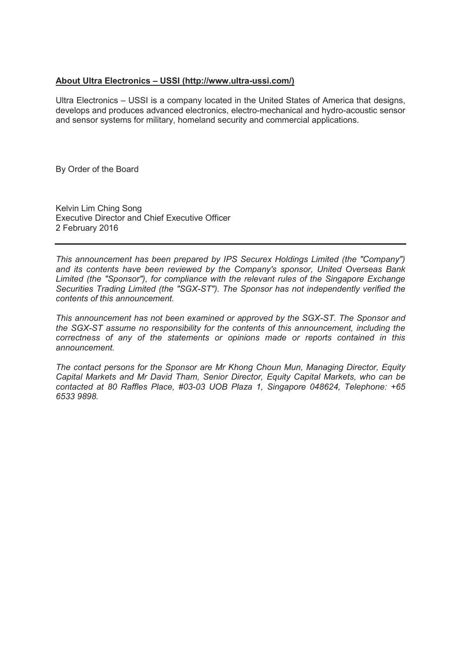### **About Ultra Electronics – USSI (http://www.ultra-ussi.com/)**

Ultra Electronics – USSI is a company located in the United States of America that designs, develops and produces advanced electronics, electro-mechanical and hydro-acoustic sensor and sensor systems for military, homeland security and commercial applications.

By Order of the Board

Kelvin Lim Ching Song Executive Director and Chief Executive Officer 2 February 2016

*This announcement has been prepared by IPS Securex Holdings Limited (the "Company") and its contents have been reviewed by the Company's sponsor, United Overseas Bank Limited (the "Sponsor"), for compliance with the relevant rules of the Singapore Exchange Securities Trading Limited (the "SGX-ST"). The Sponsor has not independently verified the contents of this announcement.* 

*This announcement has not been examined or approved by the SGX-ST. The Sponsor and the SGX-ST assume no responsibility for the contents of this announcement, including the correctness of any of the statements or opinions made or reports contained in this announcement.* 

*The contact persons for the Sponsor are Mr Khong Choun Mun, Managing Director, Equity Capital Markets and Mr David Tham, Senior Director, Equity Capital Markets, who can be contacted at 80 Raffles Place, #03-03 UOB Plaza 1, Singapore 048624, Telephone: +65 6533 9898.*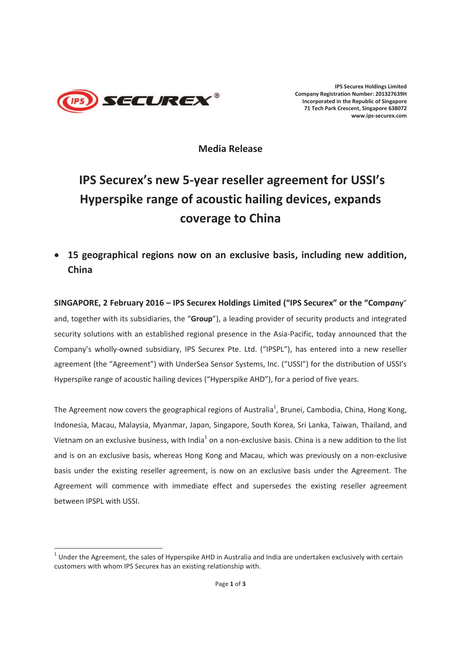

 $\overline{a}$ 

**IPS Securex Holdings Limited Company Registration Number: 201327639H Incorporated in the Republic of Singapore 71 Tech Park Crescent, Singapore 638072 www.ips-securex.com**

**Media Release** 

# **IPS Securex's new 5-year reseller agreement for USSI's Hyperspike range of acoustic hailing devices, expands coverage to China**

· **15 geographical regions now on an exclusive basis, including new addition, China** 

**SINGAPORE, 2 February 2016 – IPS Securex Holdings Limited ("IPS Securex" or the "Comp***a***ny**" and, together with its subsidiaries, the "**Group**"), a leading provider of security products and integrated security solutions with an established regional presence in the Asia-Pacific, today announced that the Company's wholly-owned subsidiary, IPS Securex Pte. Ltd. ("IPSPL"), has entered into a new reseller agreement (the "Agreement") with UnderSea Sensor Systems, Inc. ("USSI") for the distribution of USSI's Hyperspike range of acoustic hailing devices ("Hyperspike AHD"), for a period of five years.

The Agreement now covers the geographical regions of Australia<sup>1</sup>, Brunei, Cambodia, China, Hong Kong, Indonesia, Macau, Malaysia, Myanmar, Japan, Singapore, South Korea, Sri Lanka, Taiwan, Thailand, and Vietnam on an exclusive business, with India<sup>1</sup> on a non-exclusive basis. China is a new addition to the list and is on an exclusive basis, whereas Hong Kong and Macau, which was previously on a non-exclusive basis under the existing reseller agreement, is now on an exclusive basis under the Agreement. The Agreement will commence with immediate effect and supersedes the existing reseller agreement between IPSPL with USSI.

 $1$  Under the Agreement, the sales of Hyperspike AHD in Australia and India are undertaken exclusively with certain customers with whom IPS Securex has an existing relationship with.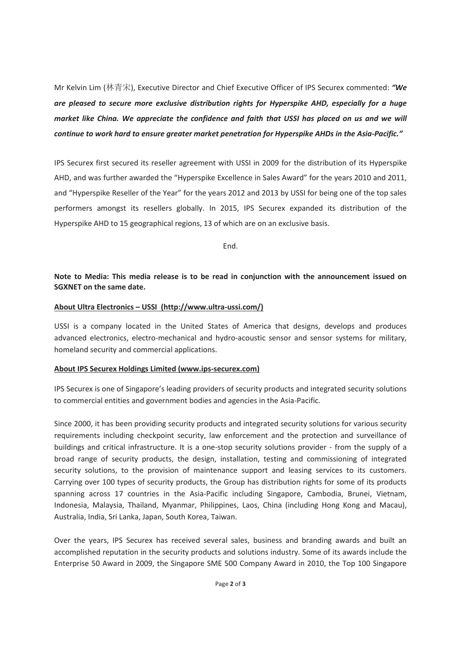Mr Kelvin Lim (᷇䶂ᆻ), Executive Director and Chief Executive Officer of IPS Securex commented: *"We are pleased to secure more exclusive distribution rights for Hyperspike AHD, especially for a huge market like China. We appreciate the confidence and faith that USSI has placed on us and we will continue to work hard to ensure greater market penetration for Hyperspike AHDs in the Asia-Pacific."* 

IPS Securex first secured its reseller agreement with USSI in 2009 for the distribution of its Hyperspike AHD, and was further awarded the "Hyperspike Excellence in Sales Award" for the years 2010 and 2011, and "Hyperspike Reseller of the Year" for the years 2012 and 2013 by USSI for being one of the top sales performers amongst its resellers globally. In 2015, IPS Securex expanded its distribution of the Hyperspike AHD to 15 geographical regions, 13 of which are on an exclusive basis.

End.

## **Note to Media: This media release is to be read in conjunction with the announcement issued on SGXNET on the same date.**

### **About Ultra Electronics – USSI (http://www.ultra-ussi.com/)**

USSI is a company located in the United States of America that designs, develops and produces advanced electronics, electro-mechanical and hydro-acoustic sensor and sensor systems for military, homeland security and commercial applications.

# **About IPS Securex Holdings Limited (www.ips-securex.com)**

IPS Securex is one of Singapore's leading providers of security products and integrated security solutions to commercial entities and government bodies and agencies in the Asia-Pacific.

Since 2000, it has been providing security products and integrated security solutions for various security requirements including checkpoint security, law enforcement and the protection and surveillance of buildings and critical infrastructure. It is a one-stop security solutions provider - from the supply of a broad range of security products, the design, installation, testing and commissioning of integrated security solutions, to the provision of maintenance support and leasing services to its customers. Carrying over 100 types of security products, the Group has distribution rights for some of its products spanning across 17 countries in the Asia-Pacific including Singapore, Cambodia, Brunei, Vietnam, Indonesia, Malaysia, Thailand, Myanmar, Philippines, Laos, China (including Hong Kong and Macau), Australia, India, Sri Lanka, Japan, South Korea, Taiwan.

Over the years, IPS Securex has received several sales, business and branding awards and built an accomplished reputation in the security products and solutions industry. Some of its awards include the Enterprise 50 Award in 2009, the Singapore SME 500 Company Award in 2010, the Top 100 Singapore